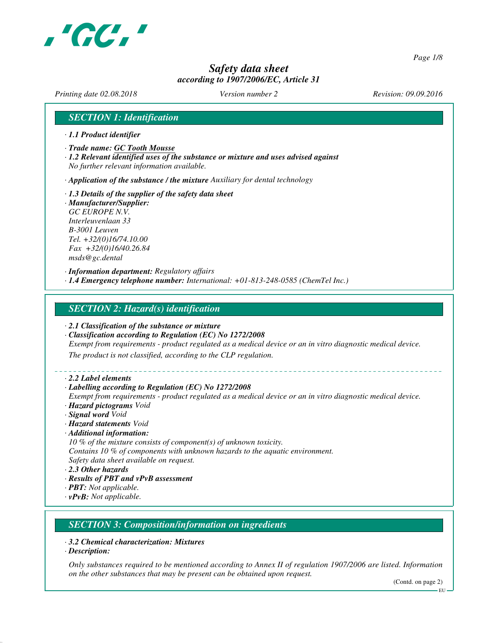

*Page 1/8*

# *Safety data sheet according to 1907/2006/EC, Article 31*

*Printing date 02.08.2018 Version number 2 Revision: 09.09.2016*

## *SECTION 1: Identification*

- *· 1.1 Product identifier*
- *· Trade name: GC Tooth Mousse*
- *· 1.2 Relevant identified uses of the substance or mixture and uses advised against No further relevant information available.*
- *· Application of the substance / the mixture Auxiliary for dental technology*
- *· 1.3 Details of the supplier of the safety data sheet*
- *· Manufacturer/Supplier: GC EUROPE N.V. Interleuvenlaan 33 B-3001 Leuven Tel. +32/(0)16/74.10.00 Fax +32/(0)16/40.26.84 msds@gc.dental*

*· Information department: Regulatory affairs · 1.4 Emergency telephone number: International: +01-813-248-0585 (ChemTel Inc.)*

### *SECTION 2: Hazard(s) identification*

- *· 2.1 Classification of the substance or mixture*
- *· Classification according to Regulation (EC) No 1272/2008*
- *Exempt from requirements product regulated as a medical device or an in vitro diagnostic medical device.*

*The product is not classified, according to the CLP regulation.*

*· 2.2 Label elements*

#### *· Labelling according to Regulation (EC) No 1272/2008*

*Exempt from requirements - product regulated as a medical device or an in vitro diagnostic medical device. · Hazard pictograms Void*

- *· Signal word Void*
- *· Hazard statements Void*
- *· Additional information:*
- *10 % of the mixture consists of component(s) of unknown toxicity.*
- *Contains 10 % of components with unknown hazards to the aquatic environment.*
- *Safety data sheet available on request.*
- *· 2.3 Other hazards*
- *· Results of PBT and vPvB assessment*
- *· PBT: Not applicable.*
- *· vPvB: Not applicable.*

# *SECTION 3: Composition/information on ingredients*

- *· 3.2 Chemical characterization: Mixtures*
- *· Description:*

*Only substances required to be mentioned according to Annex II of regulation 1907/2006 are listed. Information on the other substances that may be present can be obtained upon request.*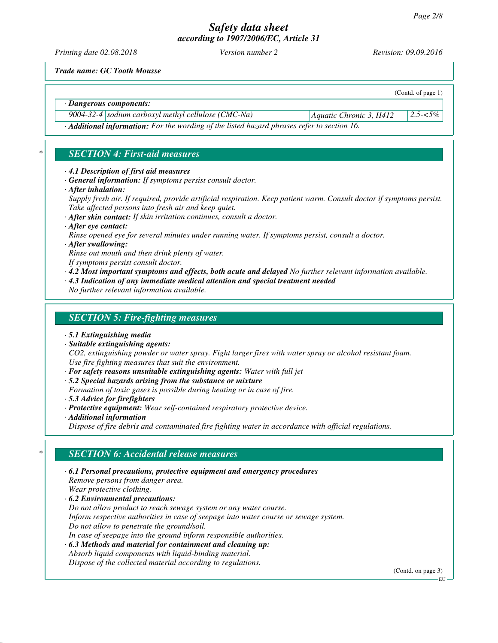*Printing date 02.08.2018 Version number 2 Revision: 09.09.2016*

(Contd. of page 1)

*Trade name: GC Tooth Mousse*

*· Dangerous components:*

*9004-32-4 sodium carboxyl methyl cellulose (CMC-Na) Aquatic Chronic 3, H412 2.5-<5%*

*· Additional information: For the wording of the listed hazard phrases refer to section 16.*

# *\* SECTION 4: First-aid measures*

- *· 4.1 Description of first aid measures*
- *· General information: If symptoms persist consult doctor.*
- *· After inhalation:*

*Supply fresh air. If required, provide artificial respiration. Keep patient warm. Consult doctor if symptoms persist. Take affected persons into fresh air and keep quiet.*

*· After skin contact: If skin irritation continues, consult a doctor.*

- *· After eye contact: Rinse opened eye for several minutes under running water. If symptoms persist, consult a doctor.*
- *· After swallowing:*

*Rinse out mouth and then drink plenty of water.*

- *If symptoms persist consult doctor.*
- *· 4.2 Most important symptoms and effects, both acute and delayed No further relevant information available.*
- *· 4.3 Indication of any immediate medical attention and special treatment needed*
- *No further relevant information available.*

# *SECTION 5: Fire-fighting measures*

- *· 5.1 Extinguishing media*
- *· Suitable extinguishing agents:*

*CO2, extinguishing powder or water spray. Fight larger fires with water spray or alcohol resistant foam. Use fire fighting measures that suit the environment.*

- *· For safety reasons unsuitable extinguishing agents: Water with full jet*
- *· 5.2 Special hazards arising from the substance or mixture*
- *Formation of toxic gases is possible during heating or in case of fire.*
- *· 5.3 Advice for firefighters*
- *· Protective equipment: Wear self-contained respiratory protective device.*
- *· Additional information*

*Dispose of fire debris and contaminated fire fighting water in accordance with official regulations.*

# *\* SECTION 6: Accidental release measures*

- *· 6.1 Personal precautions, protective equipment and emergency procedures Remove persons from danger area. Wear protective clothing. · 6.2 Environmental precautions: Do not allow product to reach sewage system or any water course. Inform respective authorities in case of seepage into water course or sewage system. Do not allow to penetrate the ground/soil.*
- *In case of seepage into the ground inform responsible authorities.*
- *· 6.3 Methods and material for containment and cleaning up: Absorb liquid components with liquid-binding material. Dispose of the collected material according to regulations.*

(Contd. on page 3)

EU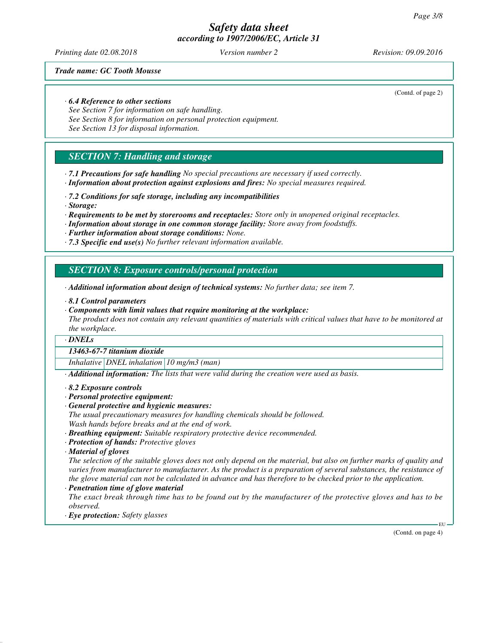*Printing date 02.08.2018 Version number 2 Revision: 09.09.2016*

*Trade name: GC Tooth Mousse*

### *· 6.4 Reference to other sections*

*See Section 7 for information on safe handling. See Section 8 for information on personal protection equipment. See Section 13 for disposal information.*

# *SECTION 7: Handling and storage*

*· 7.1 Precautions for safe handling No special precautions are necessary if used correctly. · Information about protection against explosions and fires: No special measures required.*

*· 7.2 Conditions for safe storage, including any incompatibilities*

- *· Storage:*
- *· Requirements to be met by storerooms and receptacles: Store only in unopened original receptacles.*
- *· Information about storage in one common storage facility: Store away from foodstuffs.*
- *· Further information about storage conditions: None.*
- *· 7.3 Specific end use(s) No further relevant information available.*

*SECTION 8: Exposure controls/personal protection*

- *· Additional information about design of technical systems: No further data; see item 7.*
- *· 8.1 Control parameters*
- *· Components with limit values that require monitoring at the workplace:*

*The product does not contain any relevant quantities of materials with critical values that have to be monitored at the workplace.*

### *· DNELs*

### *13463-67-7 titanium dioxide*

*Inhalative DNEL inhalation 10 mg/m3 (man)*

*· Additional information: The lists that were valid during the creation were used as basis.*

*· 8.2 Exposure controls*

- *· Personal protective equipment:*
- *· General protective and hygienic measures:*
- *The usual precautionary measures for handling chemicals should be followed. Wash hands before breaks and at the end of work.*
- *· Breathing equipment: Suitable respiratory protective device recommended.*
- *· Protection of hands: Protective gloves*
- *· Material of gloves*

*The selection of the suitable gloves does not only depend on the material, but also on further marks of quality and varies from manufacturer to manufacturer. As the product is a preparation of several substances, the resistance of the glove material can not be calculated in advance and has therefore to be checked prior to the application.*

*· Penetration time of glove material*

*The exact break through time has to be found out by the manufacturer of the protective gloves and has to be observed.*

*· Eye protection: Safety glasses*

(Contd. of page 2)

(Contd. on page 4)

**EU**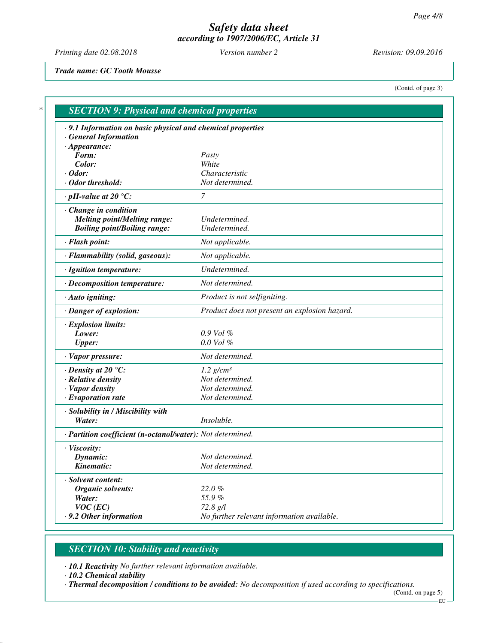*Printing date 02.08.2018 Version number 2 Revision: 09.09.2016*

*Trade name: GC Tooth Mousse*

(Contd. of page 3)

| .9.1 Information on basic physical and chemical properties   |                                               |
|--------------------------------------------------------------|-----------------------------------------------|
| <b>General Information</b>                                   |                                               |
| $\cdot$ Appearance:                                          |                                               |
| Form:                                                        | Pasty                                         |
| Color:<br>$\cdot$ Odor:                                      | White<br>Characteristic                       |
| $\cdot$ Odor threshold:                                      | Not determined.                               |
| $\cdot$ pH-value at 20 $\degree$ C:                          | $\overline{7}$                                |
|                                                              |                                               |
| · Change in condition<br><b>Melting point/Melting range:</b> | Undetermined.                                 |
| <b>Boiling point/Boiling range:</b>                          | Undetermined.                                 |
| · Flash point:                                               | Not applicable.                               |
| · Flammability (solid, gaseous):                             | Not applicable.                               |
| · Ignition temperature:                                      | Undetermined.                                 |
| · Decomposition temperature:                                 | Not determined.                               |
|                                                              |                                               |
| · Auto igniting:                                             | Product is not selfigniting.                  |
| · Danger of explosion:                                       | Product does not present an explosion hazard. |
| · Explosion limits:                                          |                                               |
| Lower:                                                       | $0.9$ Vol $%$                                 |
| <b>Upper:</b>                                                | $0.0$ Vol $%$                                 |
| · Vapor pressure:                                            | Not determined.                               |
| $\cdot$ Density at 20 $\degree$ C:                           | $1.2$ g/cm <sup>3</sup>                       |
| · Relative density                                           | Not determined.                               |
| · Vapor density                                              | Not determined.                               |
| $\cdot$ Evaporation rate                                     | Not determined.                               |
| · Solubility in / Miscibility with                           |                                               |
| Water:                                                       | Insoluble.                                    |
| · Partition coefficient (n-octanol/water): Not determined.   |                                               |
| · Viscosity:                                                 |                                               |
| Dynamic:                                                     | Not determined.                               |
| Kinematic:                                                   | Not determined.                               |
| · Solvent content:                                           |                                               |
| Organic solvents:                                            | 22.0%                                         |
| Water:                                                       | 55.9%                                         |
| $VOC$ (EC)                                                   | 72.8 g/l                                      |
| .9.2 Other information                                       | No further relevant information available.    |

# *SECTION 10: Stability and reactivity*

*· 10.1 Reactivity No further relevant information available.*

*· 10.2 Chemical stability*

*· Thermal decomposition / conditions to be avoided: No decomposition if used according to specifications.*

(Contd. on page 5)  $-EU -$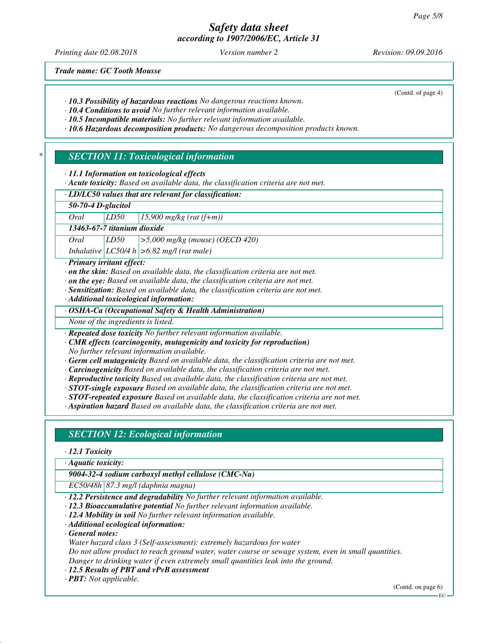*Printing date 02.08.2018 Version number 2 Revision: 09.09.2016*

(Contd. of page 4)

*Trade name: GC Tooth Mousse*

*· 10.3 Possibility of hazardous reactions No dangerous reactions known.*

*· 10.4 Conditions to avoid No further relevant information available.*

*· 10.5 Incompatible materials: No further relevant information available.*

*· 10.6 Hazardous decomposition products: No dangerous decomposition products known.*

# *\* SECTION 11: Toxicological information*

*· 11.1 Information on toxicological effects*

*· Acute toxicity: Based on available data, the classification criteria are not met.*

*· LD/LC50 values that are relevant for classification:*

*50-70-4 D-glucitol*

*Oral LD50 15,900 mg/kg (rat (f+m))*

*13463-67-7 titanium dioxide*

*Oral LD50 >5,000 mg/kg (mouse) (OECD 420)*

*Inhalative LC50/4 h >6.82 mg/l (rat male)*

### *· Primary irritant effect:*

*· on the skin: Based on available data, the classification criteria are not met.*

- *· on the eye: Based on available data, the classification criteria are not met.*
- *· Sensitization: Based on available data, the classification criteria are not met.*
- *· Additional toxicological information:*

*· OSHA-Ca (Occupational Safety & Health Administration)*

*None of the ingredients is listed.*

*· Repeated dose toxicity No further relevant information available.*

*· CMR effects (carcinogenity, mutagenicity and toxicity for reproduction)*

*No further relevant information available.*

*· Germ cell mutagenicity Based on available data, the classification criteria are not met.*

- *· Carcinogenicity Based on available data, the classification criteria are not met.*
- *· Reproductive toxicity Based on available data, the classification criteria are not met.*

*· STOT-single exposure Based on available data, the classification criteria are not met.*

*· STOT-repeated exposure Based on available data, the classification criteria are not met.*

*· Aspiration hazard Based on available data, the classification criteria are not met.*

## *SECTION 12: Ecological information*

*· 12.1 Toxicity*

*· Aquatic toxicity:*

*9004-32-4 sodium carboxyl methyl cellulose (CMC-Na)*

*EC50/48h 87.3 mg/l (daphnia magna)*

- *· 12.2 Persistence and degradability No further relevant information available.*
- *· 12.3 Bioaccumulative potential No further relevant information available.*
- *· 12.4 Mobility in soil No further relevant information available.*
- *· Additional ecological information:*

*· General notes:*

*Water hazard class 3 (Self-assessment): extremely hazardous for water*

*Do not allow product to reach ground water, water course or sewage system, even in small quantities. Danger to drinking water if even extremely small quantities leak into the ground.*

*· 12.5 Results of PBT and vPvB assessment*

*· PBT: Not applicable.*

(Contd. on page 6)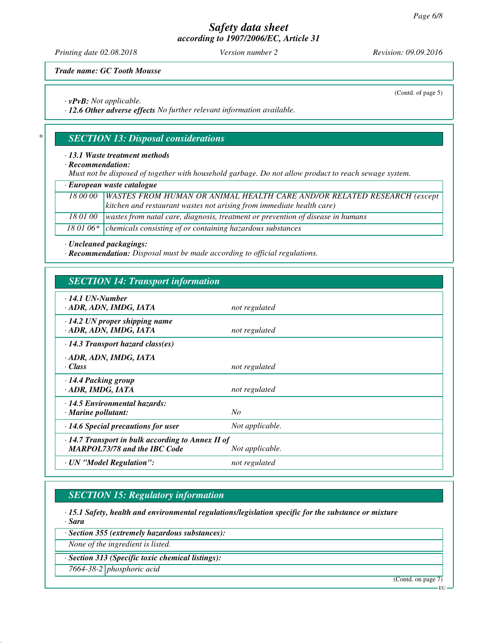*Printing date 02.08.2018 Version number 2 Revision: 09.09.2016*

(Contd. of page 5)

*Trade name: GC Tooth Mousse*

*· vPvB: Not applicable.*

*· 12.6 Other adverse effects No further relevant information available.*

## *\* SECTION 13: Disposal considerations*

### *· 13.1 Waste treatment methods*

*· Recommendation:*

*Must not be disposed of together with household garbage. Do not allow product to reach sewage system.*

*· European waste catalogue*

| 18 00 00   WASTES FROM HUMAN OR ANIMAL HEALTH CARE AND/OR RELATED RESEARCH (except         |
|--------------------------------------------------------------------------------------------|
| kitchen and restaurant wastes not arising from immediate health care)                      |
| 18 01 00   wastes from natal care, diagnosis, treatment or prevention of disease in humans |
| 18 01 06 $*$ chemicals consisting of or containing hazardous substances                    |

*· Uncleaned packagings:*

*· Recommendation: Disposal must be made according to official regulations.*

## *SECTION 14: Transport information*

| $\cdot$ 14.1 UN-Number<br>· ADR, ADN, IMDG, IATA                                               | not regulated   |
|------------------------------------------------------------------------------------------------|-----------------|
| $\cdot$ 14.2 UN proper shipping name<br>· ADR, ADN, IMDG, IATA                                 | not regulated   |
| $\cdot$ 14.3 Transport hazard class(es)                                                        |                 |
| · ADR, ADN, IMDG, IATA<br>· Class                                                              | not regulated   |
| · 14.4 Packing group<br>· ADR, IMDG, IATA                                                      | not regulated   |
| $\cdot$ 14.5 Environmental hazards:<br>$\cdot$ Marine pollutant:                               | No              |
| $\cdot$ 14.6 Special precautions for user                                                      | Not applicable. |
| $\cdot$ 14.7 Transport in bulk according to Annex II of<br><b>MARPOL73/78 and the IBC Code</b> | Not applicable. |
| · UN "Model Regulation":                                                                       | not regulated   |

## *SECTION 15: Regulatory information*

*· 15.1 Safety, health and environmental regulations/legislation specific for the substance or mixture · Sara*

*· Section 355 (extremely hazardous substances):*

*None of the ingredient is listed.*

*· Section 313 (Specific toxic chemical listings):*

*7664-38-2 phosphoric acid*

(Contd. on page 7)

EU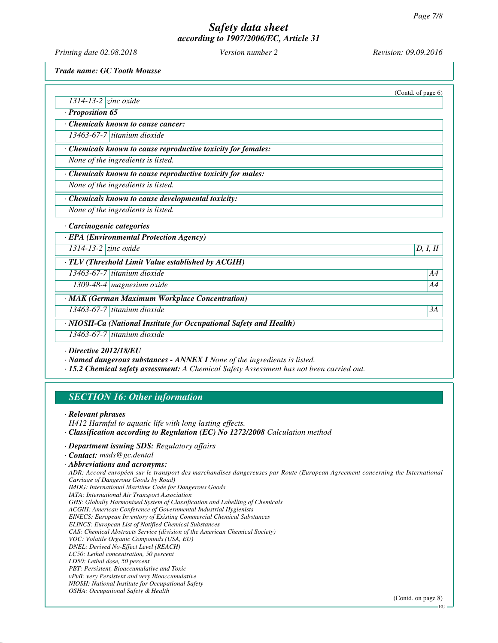*Printing date 02.08.2018 Version number 2 Revision: 09.09.2016*

*Trade name: GC Tooth Mousse*

|                                                                    | (Contd. of page $6$ ) |
|--------------------------------------------------------------------|-----------------------|
| 1314-13-2 zinc oxide                                               |                       |
| · Proposition 65                                                   |                       |
| Chemicals known to cause cancer:                                   |                       |
| 13463-67-7 titanium dioxide                                        |                       |
| Chemicals known to cause reproductive toxicity for females:        |                       |
| None of the ingredients is listed.                                 |                       |
| Chemicals known to cause reproductive toxicity for males:          |                       |
| None of the ingredients is listed.                                 |                       |
| · Chemicals known to cause developmental toxicity:                 |                       |
| None of the ingredients is listed.                                 |                       |
| · Carcinogenic categories                                          |                       |
| · EPA (Environmental Protection Agency)                            |                       |
| $\overline{1314}$ -13-2 $\overline{z}$ inc oxide                   | D, I, II              |
| $\cdot$ TLV (Threshold Limit Value established by ACGIH)           |                       |
| 13463-67-7 titanium dioxide                                        | A4                    |
| 1309-48-4   magnesium oxide                                        | A4                    |
| · MAK (German Maximum Workplace Concentration)                     |                       |
| 13463-67-7 titanium dioxide                                        | 3A                    |
| · NIOSH-Ca (National Institute for Occupational Safety and Health) |                       |
| 13463-67-7 titanium dioxide                                        |                       |
| $D' = I' = 20.12110/PI$                                            |                       |

*· Directive 2012/18/EU*

*· Named dangerous substances - ANNEX I None of the ingredients is listed.*

*· 15.2 Chemical safety assessment: A Chemical Safety Assessment has not been carried out.*

## *SECTION 16: Other information*

*· Relevant phrases*

*H412 Harmful to aquatic life with long lasting effects.*

- *· Classification according to Regulation (EC) No 1272/2008 Calculation method*
- *· Department issuing SDS: Regulatory affairs*

*· Abbreviations and acronyms:*

*ADR: Accord européen sur le transport des marchandises dangereuses par Route (European Agreement concerning the International Carriage of Dangerous Goods by Road) IMDG: International Maritime Code for Dangerous Goods*

*IATA: International Air Transport Association*

*GHS: Globally Harmonised System of Classification and Labelling of Chemicals*

*ACGIH: American Conference of Governmental Industrial Hygienists*

*EINECS: European Inventory of Existing Commercial Chemical Substances*

*ELINCS: European List of Notified Chemical Substances*

*CAS: Chemical Abstracts Service (division of the American Chemical Society)*

*VOC: Volatile Organic Compounds (USA, EU)*

*DNEL: Derived No-Effect Level (REACH)*

- *LC50: Lethal concentration, 50 percent*
- *LD50: Lethal dose, 50 percent*

*PBT: Persistent, Bioaccumulative and Toxic vPvB: very Persistent and very Bioaccumulative*

*NIOSH: National Institute for Occupational Safety*

*OSHA: Occupational Safety & Health*

(Contd. on page 8)

*<sup>·</sup> Contact: msds@gc.dental*